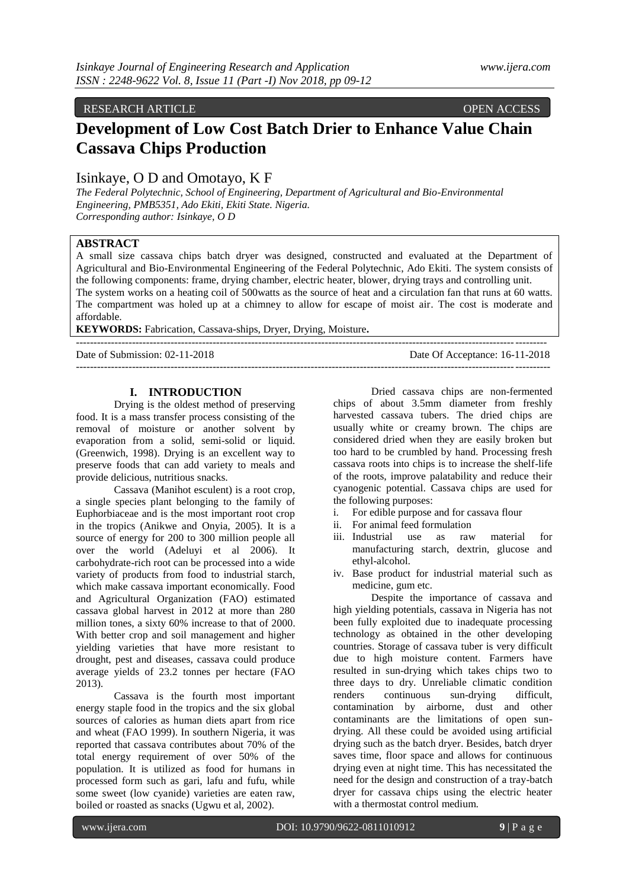# RESEARCH ARTICLE **CONTRACT ARTICLE**

# **Development of Low Cost Batch Drier to Enhance Value Chain Cassava Chips Production**

# Isinkaye, O D and Omotayo, K F

*The Federal Polytechnic, School of Engineering, Department of Agricultural and Bio-Environmental Engineering, PMB5351, Ado Ekiti, Ekiti State. Nigeria. Corresponding author: Isinkaye, O D*

# **ABSTRACT**

A small size cassava chips batch dryer was designed, constructed and evaluated at the Department of Agricultural and Bio-Environmental Engineering of the Federal Polytechnic, Ado Ekiti. The system consists of the following components: frame, drying chamber, electric heater, blower, drying trays and controlling unit. The system works on a heating coil of 500watts as the source of heat and a circulation fan that runs at 60 watts. The compartment was holed up at a chimney to allow for escape of moist air. The cost is moderate and affordable.

**KEYWORDS:** Fabrication, Cassava-ships, Dryer, Drying, Moisture**.**

--------------------------------------------------------------------------------------------------------------------------------------

Date of Submission: 02-11-2018 Date Of Acceptance: 16-11-2018 ---------------------------------------------------------------------------------------------------------------------------------------

# **I. INTRODUCTION**

Drying is the oldest method of preserving food. It is a mass transfer process consisting of the removal of moisture or another solvent by evaporation from a solid, semi-solid or liquid. (Greenwich, 1998). Drying is an excellent way to preserve foods that can add variety to meals and provide delicious, nutritious snacks.

Cassava (Manihot esculent) is a root crop, a single species plant belonging to the family of Euphorbiaceae and is the most important root crop in the tropics (Anikwe and Onyia, 2005). It is a source of energy for 200 to 300 million people all over the world (Adeluyi et al 2006). It carbohydrate-rich root can be processed into a wide variety of products from food to industrial starch, which make cassava important economically. Food and Agricultural Organization (FAO) estimated cassava global harvest in 2012 at more than 280 million tones, a sixty 60% increase to that of 2000. With better crop and soil management and higher yielding varieties that have more resistant to drought, pest and diseases, cassava could produce average yields of 23.2 tonnes per hectare (FAO 2013).

Cassava is the fourth most important energy staple food in the tropics and the six global sources of calories as human diets apart from rice and wheat (FAO 1999). In southern Nigeria, it was reported that cassava contributes about 70% of the total energy requirement of over 50% of the population. It is utilized as food for humans in processed form such as gari, lafu and fufu, while some sweet (low cyanide) varieties are eaten raw, boiled or roasted as snacks (Ugwu et al, 2002).

Dried cassava chips are non-fermented chips of about 3.5mm diameter from freshly harvested cassava tubers. The dried chips are usually white or creamy brown. The chips are considered dried when they are easily broken but too hard to be crumbled by hand. Processing fresh cassava roots into chips is to increase the shelf-life of the roots, improve palatability and reduce their cyanogenic potential. Cassava chips are used for the following purposes:

- i. For edible purpose and for cassava flour
- ii. For animal feed formulation
- iii. Industrial use as raw material for manufacturing starch, dextrin, glucose and ethyl-alcohol.
- iv. Base product for industrial material such as medicine, gum etc.

Despite the importance of cassava and high yielding potentials, cassava in Nigeria has not been fully exploited due to inadequate processing technology as obtained in the other developing countries. Storage of cassava tuber is very difficult due to high moisture content. Farmers have resulted in sun-drying which takes chips two to three days to dry. Unreliable climatic condition renders continuous sun-drying difficult, contamination by airborne, dust and other contaminants are the limitations of open sundrying. All these could be avoided using artificial drying such as the batch dryer. Besides, batch dryer saves time, floor space and allows for continuous drying even at night time. This has necessitated the need for the design and construction of a tray-batch dryer for cassava chips using the electric heater with a thermostat control medium.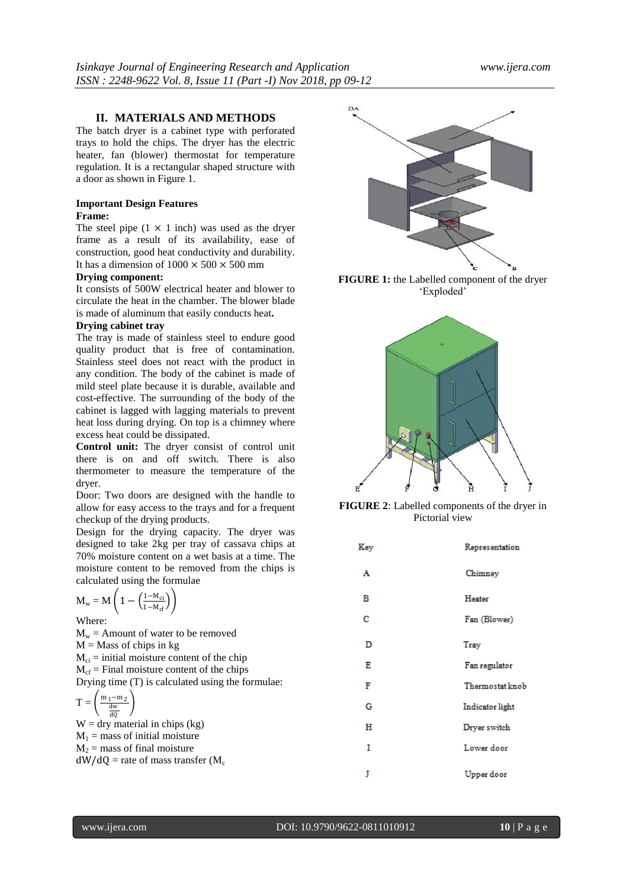# **II. MATERIALS AND METHODS**

The batch dryer is a cabinet type with perforated trays to hold the chips. The dryer has the electric heater, fan (blower) thermostat for temperature regulation. It is a rectangular shaped structure with a door as shown in Figure 1.

# **Important Design Features**

# **Frame:**

The steel pipe  $(1 \times 1$  inch) was used as the dryer frame as a result of its availability, ease of construction, good heat conductivity and durability. It has a dimension of  $1000 \times 500 \times 500$  mm

# **Drying component:**

It consists of 500W electrical heater and blower to circulate the heat in the chamber. The blower blade is made of aluminum that easily conducts heat**.**

#### **Drying cabinet tray**

The tray is made of stainless steel to endure good quality product that is free of contamination. Stainless steel does not react with the product in any condition. The body of the cabinet is made of mild steel plate because it is durable, available and cost-effective. The surrounding of the body of the cabinet is lagged with lagging materials to prevent heat loss during drying. On top is a chimney where excess heat could be dissipated.

**Control unit:** The dryer consist of control unit there is on and off switch. There is also thermometer to measure the temperature of the dryer.

Door: Two doors are designed with the handle to allow for easy access to the trays and for a frequent checkup of the drying products.

Design for the drying capacity. The dryer was designed to take 2kg per tray of cassava chips at 70% moisture content on a wet basis at a time. The moisture content to be removed from the chips is calculated using the formulae

$$
\mathbf{M}_{\mathrm{w}} = \mathbf{M}\left(1 - \left(\frac{1 - \mathsf{M}_{\mathrm{ci}}}{1 - \mathsf{M}_{\mathrm{cf}}}\right)\right)
$$

Where:

 $M_w =$  Amount of water to be removed  $M =$ Mass of chips in kg  $M_{ci}$  = initial moisture content of the chip  $M_{cf}$  = Final moisture content of the chips Drying time (T) is calculated using the formulae:  $T =$  $m_1$ −m<sub>2</sub> dw dQ - 1

 $W =$  dry material in chips (kg)  $M_1$  = mass of initial moisture  $M_2$  = mass of final moisture  $dW/dQ$  = rate of mass transfer (M<sub>c</sub>



**FIGURE 1:** the Labelled component of the dryer 'Exploded'



**FIGURE 2**: Labelled components of the dryer in Pictorial view

| Key | Representation  |
|-----|-----------------|
| A   | Chimney         |
| в   | Heater          |
| с   | Fan (Blower)    |
| D   | Tray            |
| Е   | Fan regulator   |
| F   | Thermostat knob |
| G   | Indicator light |
| н   | Dryer switch    |
| I   | Lower door      |
| J   | Upper door      |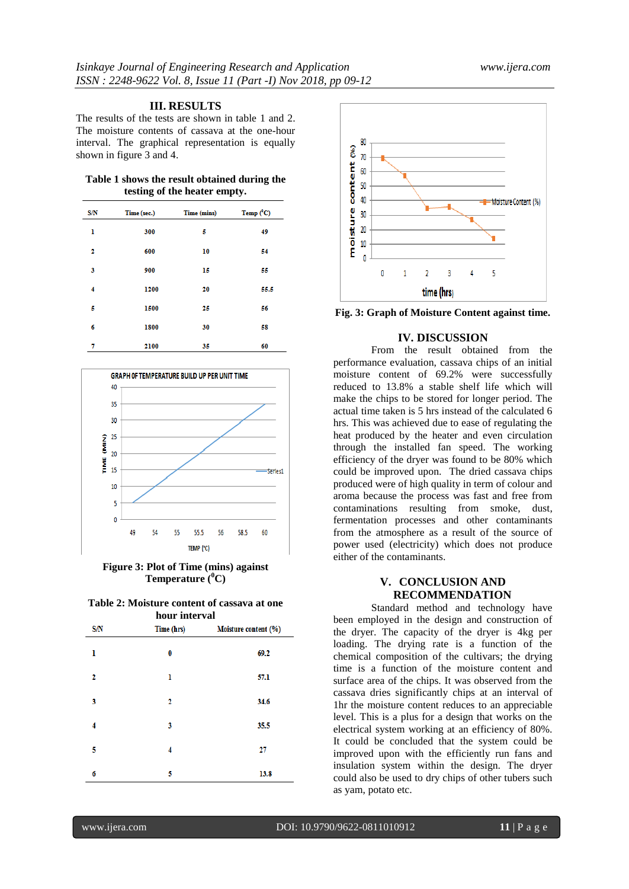### **III. RESULTS**

The results of the tests are shown in table 1 and 2. The moisture contents of cassava at the one-hour interval. The graphical representation is equally shown in figure 3 and 4.

|                              |  |  | Table 1 shows the result obtained during the |  |
|------------------------------|--|--|----------------------------------------------|--|
| testing of the heater empty. |  |  |                                              |  |

| <b>S/N</b> | Time (sec.) | Time (mins) | Temp $(^0C)$ |
|------------|-------------|-------------|--------------|
| ı          | 300         | 5           | 49           |
| 2          | 600         | 10          | 54           |
| 3          | 900         | 15          | 55           |
| 4          | 1200        | 20          | 55.5         |
| 5          | 1500        | 25          | 56           |
| б          | 1800        | 30          | 58           |
| 7          | 2100        | 35          | 60           |



**Figure 3: Plot of Time (mins) against Temperature (<sup>0</sup>C)**

| Table 2: Moisture content of cassava at one |  |
|---------------------------------------------|--|
| hour interval                               |  |

| S/N | Time (hrs) | Moisture content (%) |
|-----|------------|----------------------|
| ı   | 0          | 69.2                 |
| 2   | ı          | 57.1                 |
| 3   | 2          | 34.6                 |
| 4   | 3          | 35.5                 |
| 5   | 4          | 27                   |
| 6   | 5          | 13.8                 |



**Fig. 3: Graph of Moisture Content against time.**

# **IV. DISCUSSION**

From the result obtained from the performance evaluation, cassava chips of an initial moisture content of 69.2% were successfully reduced to 13.8% a stable shelf life which will make the chips to be stored for longer period. The actual time taken is 5 hrs instead of the calculated 6 hrs. This was achieved due to ease of regulating the heat produced by the heater and even circulation through the installed fan speed. The working efficiency of the dryer was found to be 80% which could be improved upon. The dried cassava chips produced were of high quality in term of colour and aroma because the process was fast and free from contaminations resulting from smoke, dust, fermentation processes and other contaminants from the atmosphere as a result of the source of power used (electricity) which does not produce either of the contaminants.

# **V. CONCLUSION AND RECOMMENDATION**

Standard method and technology have been employed in the design and construction of the dryer. The capacity of the dryer is 4kg per loading. The drying rate is a function of the chemical composition of the cultivars; the drying time is a function of the moisture content and surface area of the chips. It was observed from the cassava dries significantly chips at an interval of 1hr the moisture content reduces to an appreciable level. This is a plus for a design that works on the electrical system working at an efficiency of 80%. It could be concluded that the system could be improved upon with the efficiently run fans and insulation system within the design. The dryer could also be used to dry chips of other tubers such as yam, potato etc.